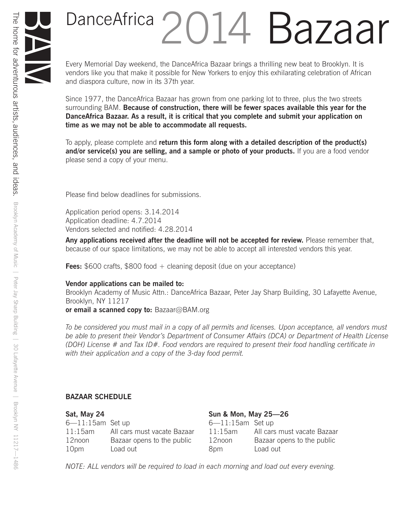## DanceAfrica 2014 Bazaar

Every Memorial Day weekend, the DanceAfrica Bazaar brings a thrilling new beat to Brooklyn. It is vendors like you that make it possible for New Yorkers to enjoy this exhilarating celebration of African and diaspora culture, now in its 37th year.

Since 1977, the DanceAfrica Bazaar has grown from one parking lot to three, plus the two streets surrounding BAM. **Because of construction, there will be fewer spaces available this year for the DanceAfrica Bazaar. As a result, it is critical that you complete and submit your application on time as we may not be able to accommodate all requests.**

To apply, please complete and **return this form along with a detailed description of the product(s)**  and/or service(s) you are selling, and a sample or photo of your products. If you are a food vendor please send a copy of your menu.

Please find below deadlines for submissions.

Application period opens: 3.14.2014 Application deadline: 4.7.2014 Vendors selected and notified: 4.28.2014

**Any applications received after the deadline will not be accepted for review.** Please remember that, because of our space limitations, we may not be able to accept all interested vendors this year.

**Fees:** \$600 crafts, \$800 food + cleaning deposit (due on your acceptance)

#### **Vendor applications can be mailed to:**

Brooklyn Academy of Music Attn.: DanceAfrica Bazaar, Peter Jay Sharp Building, 30 Lafayette Avenue, Brooklyn, NY 11217

**or email a scanned copy to:** Bazaar@BAM.org

*To be considered you must mail in a copy of all permits and licenses. Upon acceptance, all vendors must be able to present their Vendor's Department of Consumer Affairs (DCA) or Department of Health License (DOH) License # and Tax ID#. Food vendors are required to present their food handling certificate in with their application and a copy of the 3-day food permit.* 

#### **BAZAAR SCHEDULE**

| Sat, May 24           |                             | Sun & Mon, May 25-26  |                             |  |
|-----------------------|-----------------------------|-----------------------|-----------------------------|--|
| $6 - 11:15$ am Set up |                             | $6 - 11:15$ am Set up |                             |  |
| $11:15$ am            | All cars must vacate Bazaar | $11:15$ am            | All cars must vacate Bazaar |  |
| 12noon                | Bazaar opens to the public  | 12noon                | Bazaar opens to the public  |  |
| 10pm                  | Load out                    | 8pm                   | Load out                    |  |

*NOTE: ALL vendors will be required to load in each morning and load out every evening.*